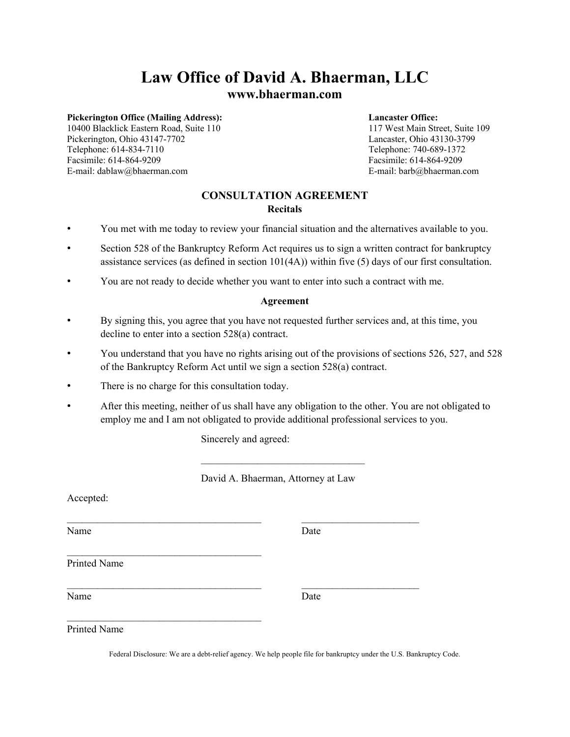# **Law Office of David A. Bhaerman, LLC**

# **www.bhaerman.com**

# **Pickerington Office (Mailing Address):** Lancaster Office:<br>
10400 Blacklick Eastern Road, Suite 110 117 West Main Street, Suite 109

10400 Blacklick Eastern Road, Suite 110 Pickerington, Ohio 43147-7702 Lancaster, Ohio 43130-3799 Telephone: 614-834-7110 Telephone: 740-689-1372 Facsimile: 614-864-9209 Facsimile: 614-864-9209 E-mail: dablaw@bhaerman.com E-mail: barb@bhaerman.com

# **CONSULTATION AGREEMENT Recitals**

- You met with me today to review your financial situation and the alternatives available to you.
- Section 528 of the Bankruptcy Reform Act requires us to sign a written contract for bankruptcy assistance services (as defined in section 101(4A)) within five (5) days of our first consultation.
- You are not ready to decide whether you want to enter into such a contract with me.

### **Agreement**

- By signing this, you agree that you have not requested further services and, at this time, you decline to enter into a section 528(a) contract.
- You understand that you have no rights arising out of the provisions of sections 526, 527, and 528 of the Bankruptcy Reform Act until we sign a section 528(a) contract.
- There is no charge for this consultation today.

 $\mathcal{L}_\text{max}$  , and the set of the set of the set of the set of the set of the set of the set of the set of the set of the set of the set of the set of the set of the set of the set of the set of the set of the set of the

• After this meeting, neither of us shall have any obligation to the other. You are not obligated to employ me and I am not obligated to provide additional professional services to you.

Sincerely and agreed:

 $\_$  , and the set of the set of the set of the set of the set of the set of the set of the set of the set of the set of the set of the set of the set of the set of the set of the set of the set of the set of the set of th

David A. Bhaerman, Attorney at Law

 $\mathcal{L}_\text{max}$ 

Accepted:

Name Date

Printed Name

Name Date

Printed Name

Federal Disclosure: We are a debt-relief agency. We help people file for bankruptcy under the U.S. Bankruptcy Code.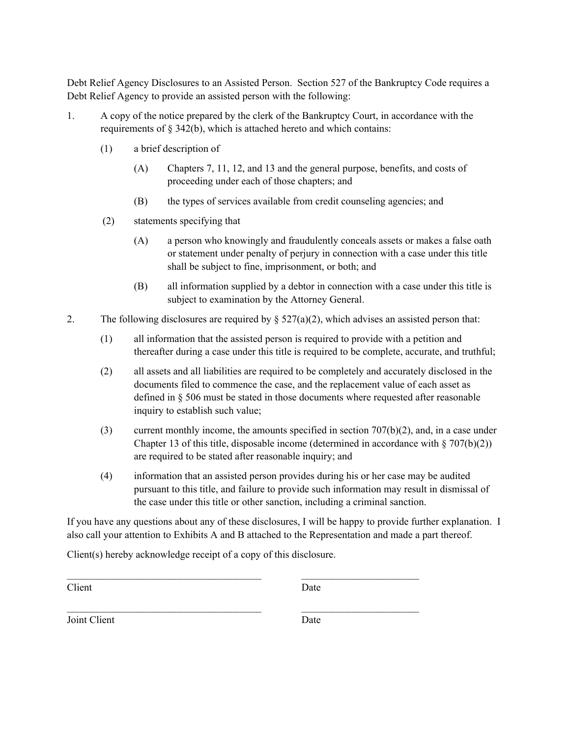Debt Relief Agency Disclosures to an Assisted Person. Section 527 of the Bankruptcy Code requires a Debt Relief Agency to provide an assisted person with the following:

- 1. A copy of the notice prepared by the clerk of the Bankruptcy Court, in accordance with the requirements of § 342(b), which is attached hereto and which contains:
	- (1) a brief description of
		- (A) Chapters 7, 11, 12, and 13 and the general purpose, benefits, and costs of proceeding under each of those chapters; and
		- (B) the types of services available from credit counseling agencies; and
	- (2) statements specifying that
		- (A) a person who knowingly and fraudulently conceals assets or makes a false oath or statement under penalty of perjury in connection with a case under this title shall be subject to fine, imprisonment, or both; and
		- (B) all information supplied by a debtor in connection with a case under this title is subject to examination by the Attorney General.
- 2. The following disclosures are required by  $\S 527(a)(2)$ , which advises an assisted person that:
	- (1) all information that the assisted person is required to provide with a petition and thereafter during a case under this title is required to be complete, accurate, and truthful;
	- (2) all assets and all liabilities are required to be completely and accurately disclosed in the documents filed to commence the case, and the replacement value of each asset as defined in § 506 must be stated in those documents where requested after reasonable inquiry to establish such value;
	- (3) current monthly income, the amounts specified in section  $707(b)(2)$ , and, in a case under Chapter 13 of this title, disposable income (determined in accordance with  $\S 707(b)(2)$ ) are required to be stated after reasonable inquiry; and
	- (4) information that an assisted person provides during his or her case may be audited pursuant to this title, and failure to provide such information may result in dismissal of the case under this title or other sanction, including a criminal sanction.

If you have any questions about any of these disclosures, I will be happy to provide further explanation. I also call your attention to Exhibits A and B attached to the Representation and made a part thereof.

Client(s) hereby acknowledge receipt of a copy of this disclosure.

 $\mathcal{L}_\text{max} = \frac{1}{2} \sum_{i=1}^{n} \frac{1}{2} \sum_{i=1}^{n} \frac{1}{2} \sum_{i=1}^{n} \frac{1}{2} \sum_{i=1}^{n} \frac{1}{2} \sum_{i=1}^{n} \frac{1}{2} \sum_{i=1}^{n} \frac{1}{2} \sum_{i=1}^{n} \frac{1}{2} \sum_{i=1}^{n} \frac{1}{2} \sum_{i=1}^{n} \frac{1}{2} \sum_{i=1}^{n} \frac{1}{2} \sum_{i=1}^{n} \frac{1}{2} \sum_{i=1}^{n} \frac{1$ 

 $\mathcal{L}_\text{max} = \frac{1}{2} \sum_{i=1}^{n} \frac{1}{2} \sum_{i=1}^{n} \frac{1}{2} \sum_{i=1}^{n} \frac{1}{2} \sum_{i=1}^{n} \frac{1}{2} \sum_{i=1}^{n} \frac{1}{2} \sum_{i=1}^{n} \frac{1}{2} \sum_{i=1}^{n} \frac{1}{2} \sum_{i=1}^{n} \frac{1}{2} \sum_{i=1}^{n} \frac{1}{2} \sum_{i=1}^{n} \frac{1}{2} \sum_{i=1}^{n} \frac{1}{2} \sum_{i=1}^{n} \frac{1$ 

Client Date

Joint Client Date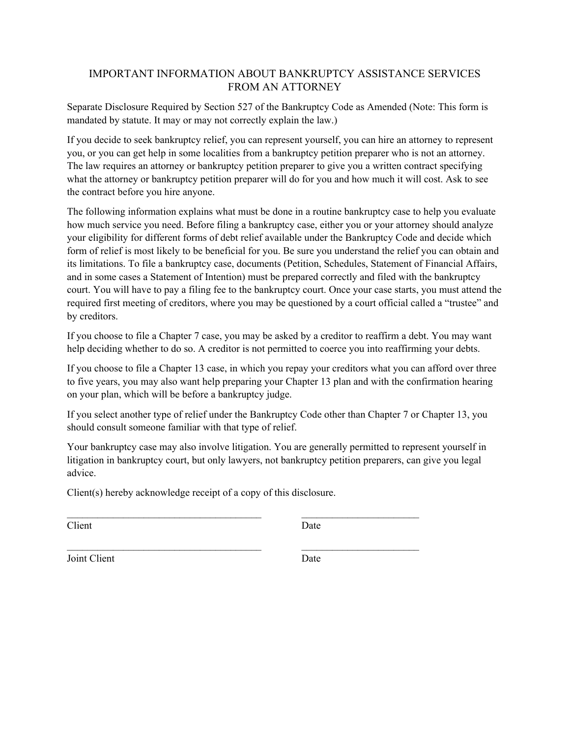# IMPORTANT INFORMATION ABOUT BANKRUPTCY ASSISTANCE SERVICES FROM AN ATTORNEY

Separate Disclosure Required by Section 527 of the Bankruptcy Code as Amended (Note: This form is mandated by statute. It may or may not correctly explain the law.)

If you decide to seek bankruptcy relief, you can represent yourself, you can hire an attorney to represent you, or you can get help in some localities from a bankruptcy petition preparer who is not an attorney. The law requires an attorney or bankruptcy petition preparer to give you a written contract specifying what the attorney or bankruptcy petition preparer will do for you and how much it will cost. Ask to see the contract before you hire anyone.

The following information explains what must be done in a routine bankruptcy case to help you evaluate how much service you need. Before filing a bankruptcy case, either you or your attorney should analyze your eligibility for different forms of debt relief available under the Bankruptcy Code and decide which form of relief is most likely to be beneficial for you. Be sure you understand the relief you can obtain and its limitations. To file a bankruptcy case, documents (Petition, Schedules, Statement of Financial Affairs, and in some cases a Statement of Intention) must be prepared correctly and filed with the bankruptcy court. You will have to pay a filing fee to the bankruptcy court. Once your case starts, you must attend the required first meeting of creditors, where you may be questioned by a court official called a "trustee" and by creditors.

If you choose to file a Chapter 7 case, you may be asked by a creditor to reaffirm a debt. You may want help deciding whether to do so. A creditor is not permitted to coerce you into reaffirming your debts.

If you choose to file a Chapter 13 case, in which you repay your creditors what you can afford over three to five years, you may also want help preparing your Chapter 13 plan and with the confirmation hearing on your plan, which will be before a bankruptcy judge.

If you select another type of relief under the Bankruptcy Code other than Chapter 7 or Chapter 13, you should consult someone familiar with that type of relief.

Your bankruptcy case may also involve litigation. You are generally permitted to represent yourself in litigation in bankruptcy court, but only lawyers, not bankruptcy petition preparers, can give you legal advice.

 $\mathcal{L}_\text{max} = \frac{1}{2} \sum_{i=1}^{n} \frac{1}{2} \sum_{i=1}^{n} \frac{1}{2} \sum_{i=1}^{n} \frac{1}{2} \sum_{i=1}^{n} \frac{1}{2} \sum_{i=1}^{n} \frac{1}{2} \sum_{i=1}^{n} \frac{1}{2} \sum_{i=1}^{n} \frac{1}{2} \sum_{i=1}^{n} \frac{1}{2} \sum_{i=1}^{n} \frac{1}{2} \sum_{i=1}^{n} \frac{1}{2} \sum_{i=1}^{n} \frac{1}{2} \sum_{i=1}^{n} \frac{1$ 

 $\mathcal{L}_\text{max}$  and the contract of the contract of the contract of the contract of the contract of the contract of

Client(s) hereby acknowledge receipt of a copy of this disclosure.

Client Date

Joint Client Date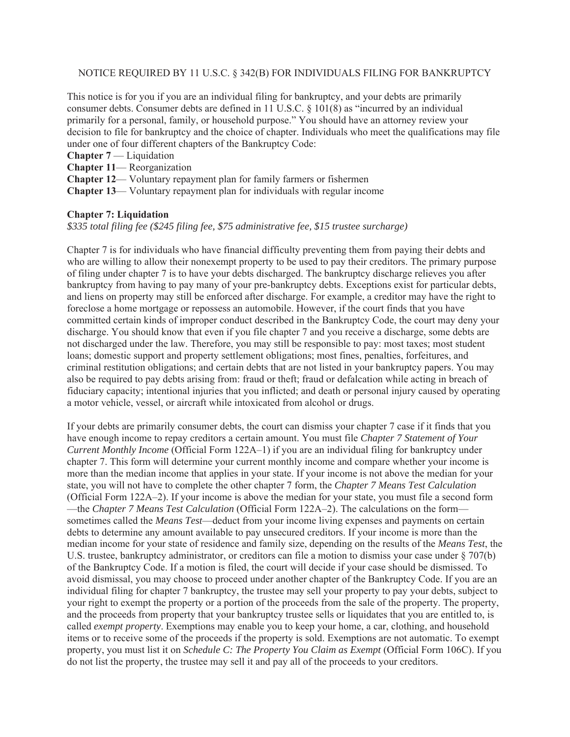### NOTICE REQUIRED BY 11 U.S.C. § 342(B) FOR INDIVIDUALS FILING FOR BANKRUPTCY

This notice is for you if you are an individual filing for bankruptcy, and your debts are primarily consumer debts. Consumer debts are defined in 11 U.S.C. § 101(8) as "incurred by an individual primarily for a personal, family, or household purpose." You should have an attorney review your decision to file for bankruptcy and the choice of chapter. Individuals who meet the qualifications may file under one of four different chapters of the Bankruptcy Code:

- **Chapter 7** Liquidation
- **Chapter 11** Reorganization
- **Chapter 12** Voluntary repayment plan for family farmers or fishermen
- **Chapter 13** Voluntary repayment plan for individuals with regular income

## **Chapter 7: Liquidation**

*\$335 total filing fee (\$245 filing fee, \$75 administrative fee, \$15 trustee surcharge)* 

Chapter 7 is for individuals who have financial difficulty preventing them from paying their debts and who are willing to allow their nonexempt property to be used to pay their creditors. The primary purpose of filing under chapter 7 is to have your debts discharged. The bankruptcy discharge relieves you after bankruptcy from having to pay many of your pre-bankruptcy debts. Exceptions exist for particular debts, and liens on property may still be enforced after discharge. For example, a creditor may have the right to foreclose a home mortgage or repossess an automobile. However, if the court finds that you have committed certain kinds of improper conduct described in the Bankruptcy Code, the court may deny your discharge. You should know that even if you file chapter 7 and you receive a discharge, some debts are not discharged under the law. Therefore, you may still be responsible to pay: most taxes; most student loans; domestic support and property settlement obligations; most fines, penalties, forfeitures, and criminal restitution obligations; and certain debts that are not listed in your bankruptcy papers. You may also be required to pay debts arising from: fraud or theft; fraud or defalcation while acting in breach of fiduciary capacity; intentional injuries that you inflicted; and death or personal injury caused by operating a motor vehicle, vessel, or aircraft while intoxicated from alcohol or drugs.

If your debts are primarily consumer debts, the court can dismiss your chapter 7 case if it finds that you have enough income to repay creditors a certain amount. You must file *Chapter 7 Statement of Your Current Monthly Income* (Official Form 122A–1) if you are an individual filing for bankruptcy under chapter 7. This form will determine your current monthly income and compare whether your income is more than the median income that applies in your state. If your income is not above the median for your state, you will not have to complete the other chapter 7 form, the *Chapter 7 Means Test Calculation*  (Official Form 122A–2). If your income is above the median for your state, you must file a second form —the *Chapter 7 Means Test Calculation* (Official Form 122A–2). The calculations on the form sometimes called the *Means Test*—deduct from your income living expenses and payments on certain debts to determine any amount available to pay unsecured creditors. If your income is more than the median income for your state of residence and family size, depending on the results of the *Means Test*, the U.S. trustee, bankruptcy administrator, or creditors can file a motion to dismiss your case under § 707(b) of the Bankruptcy Code. If a motion is filed, the court will decide if your case should be dismissed. To avoid dismissal, you may choose to proceed under another chapter of the Bankruptcy Code. If you are an individual filing for chapter 7 bankruptcy, the trustee may sell your property to pay your debts, subject to your right to exempt the property or a portion of the proceeds from the sale of the property. The property, and the proceeds from property that your bankruptcy trustee sells or liquidates that you are entitled to, is called *exempt property*. Exemptions may enable you to keep your home, a car, clothing, and household items or to receive some of the proceeds if the property is sold. Exemptions are not automatic. To exempt property, you must list it on *Schedule C: The Property You Claim as Exempt* (Official Form 106C). If you do not list the property, the trustee may sell it and pay all of the proceeds to your creditors.